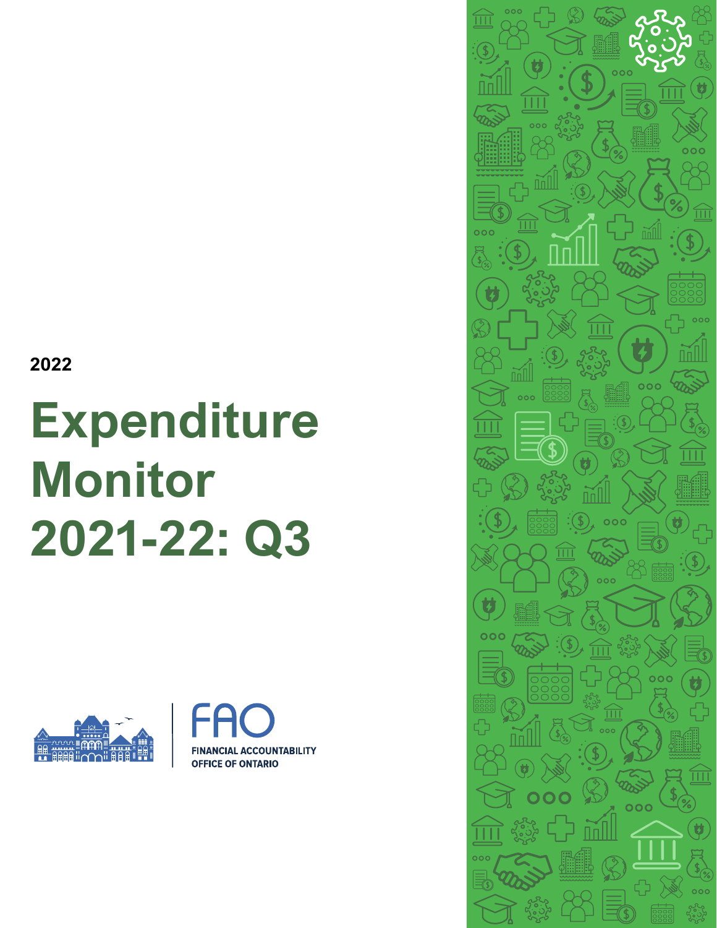**2022**

# **Expenditure Monitor 2021-22: Q3**





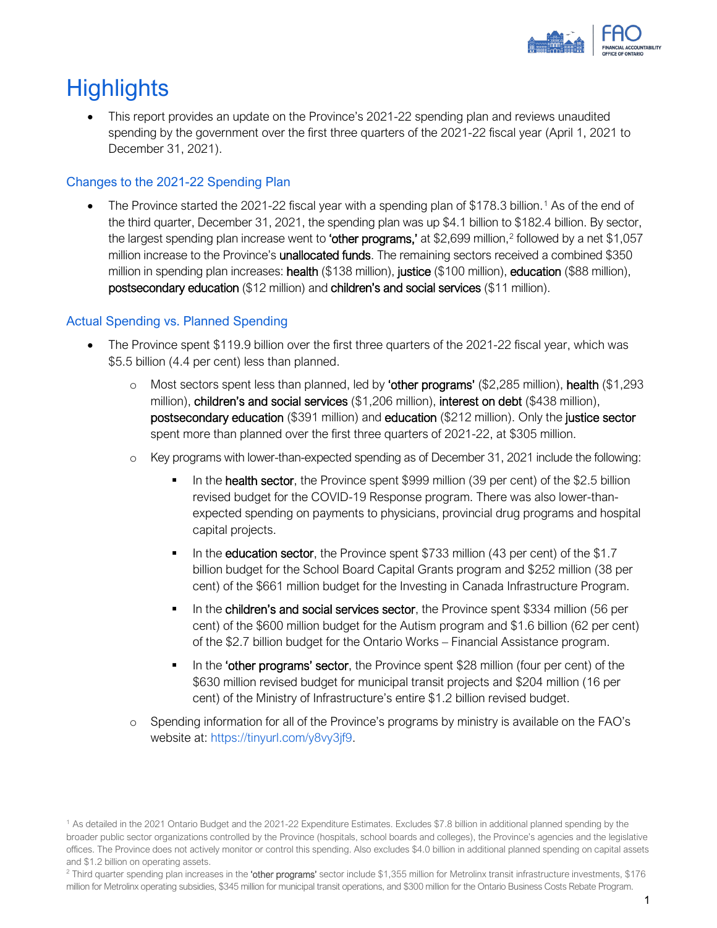

# **Highlights**

• This report provides an update on the Province's 2021-22 spending plan and reviews unaudited spending by the government over the first three quarters of the 2021-22 fiscal year (April 1, 2021 to December 31, 2021).

### Changes to the 2021-22 Spending Plan

• The Province started the 202[1](#page-1-0)-22 fiscal year with a spending plan of \$178.3 billion.<sup>1</sup> As of the end of the third quarter, December 31, 2021, the spending plan was up \$4.1 billion to \$182.4 billion. By sector, the largest spending plan increase went to 'other programs,' at \$[2](#page-1-1),699 million,<sup>2</sup> followed by a net \$1,057 million increase to the Province's **unallocated funds**. The remaining sectors received a combined \$350 million in spending plan increases: **health** (\$138 million), justice (\$100 million), education (\$88 million), postsecondary education (\$12 million) and children's and social services (\$11 million).

### Actual Spending vs. Planned Spending

- The Province spent \$119.9 billion over the first three quarters of the 2021-22 fiscal year, which was \$5.5 billion (4.4 per cent) less than planned.
	- $\circ$  Most sectors spent less than planned, led by 'other programs' (\$2,285 million), health (\$1,293 million), children's and social services (\$1,206 million), interest on debt (\$438 million), postsecondary education (\$391 million) and education (\$212 million). Only the justice sector spent more than planned over the first three quarters of 2021-22, at \$305 million.
	- o Key programs with lower-than-expected spending as of December 31, 2021 include the following:
		- In the health sector, the Province spent \$999 million (39 per cent) of the \$2.5 billion revised budget for the COVID-19 Response program. There was also lower-thanexpected spending on payments to physicians, provincial drug programs and hospital capital projects.
		- In the education sector, the Province spent \$733 million (43 per cent) of the \$1.7 billion budget for the School Board Capital Grants program and \$252 million (38 per cent) of the \$661 million budget for the Investing in Canada Infrastructure Program.
		- In the children's and social services sector, the Province spent \$334 million (56 per cent) of the \$600 million budget for the Autism program and \$1.6 billion (62 per cent) of the \$2.7 billion budget for the Ontario Works – Financial Assistance program.
		- In the 'other programs' sector, the Province spent \$28 million (four per cent) of the \$630 million revised budget for municipal transit projects and \$204 million (16 per cent) of the Ministry of Infrastructure's entire \$1.2 billion revised budget.
	- o Spending information for all of the Province's programs by ministry is available on the FAO's website at: [https://tinyurl.com/y8vy3jf9.](https://tinyurl.com/y8vy3jf9)

<span id="page-1-0"></span><sup>1</sup> As detailed in the 2021 Ontario Budget and the 2021-22 Expenditure Estimates. Excludes \$7.8 billion in additional planned spending by the broader public sector organizations controlled by the Province (hospitals, school boards and colleges), the Province's agencies and the legislative offices. The Province does not actively monitor or control this spending. Also excludes \$4.0 billion in additional planned spending on capital assets and \$1.2 billion on operating assets.

<span id="page-1-1"></span><sup>&</sup>lt;sup>2</sup> Third quarter spending plan increases in the 'other programs' sector include \$1,355 million for Metrolinx transit infrastructure investments, \$176 million for Metrolinx operating subsidies, \$345 million for municipal transit operations, and \$300 million for the Ontario Business Costs Rebate Program.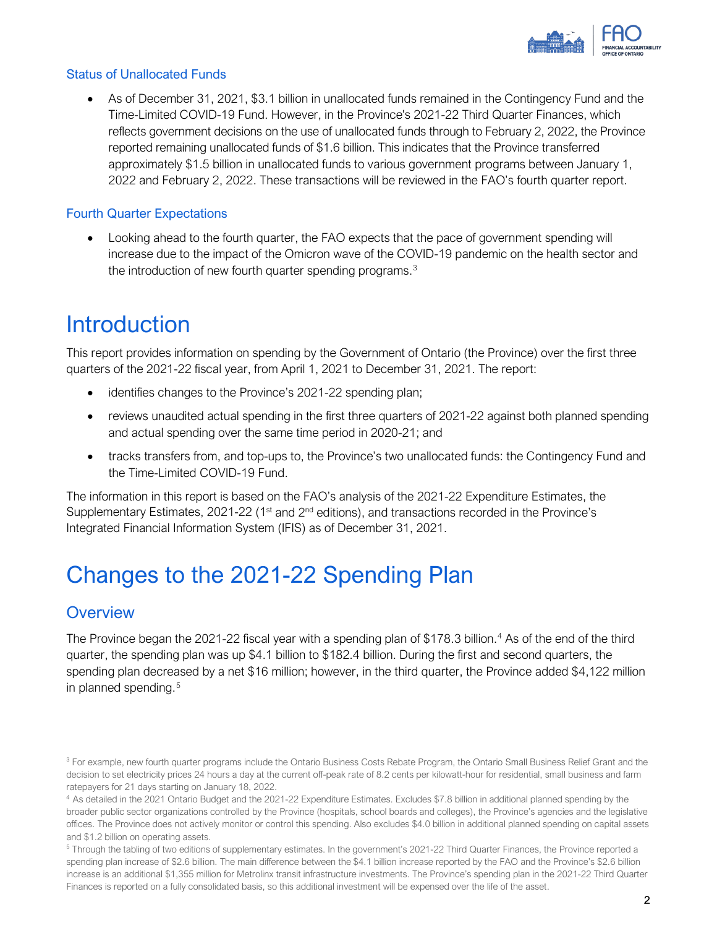

#### Status of Unallocated Funds

• As of December 31, 2021, \$3.1 billion in unallocated funds remained in the Contingency Fund and the Time-Limited COVID-19 Fund. However, in the Province's 2021-22 Third Quarter Finances, which reflects government decisions on the use of unallocated funds through to February 2, 2022, the Province reported remaining unallocated funds of \$1.6 billion. This indicates that the Province transferred approximately \$1.5 billion in unallocated funds to various government programs between January 1, 2022 and February 2, 2022. These transactions will be reviewed in the FAO's fourth quarter report.

#### Fourth Quarter Expectations

• Looking ahead to the fourth quarter, the FAO expects that the pace of government spending will increase due to the impact of the Omicron wave of the COVID-19 pandemic on the health sector and the introduction of new fourth quarter spending programs.<sup>[3](#page-2-0)</sup>

## **Introduction**

This report provides information on spending by the Government of Ontario (the Province) over the first three quarters of the 2021-22 fiscal year, from April 1, 2021 to December 31, 2021. The report:

- identifies changes to the Province's 2021-22 spending plan;
- reviews unaudited actual spending in the first three quarters of 2021-22 against both planned spending and actual spending over the same time period in 2020-21; and
- tracks transfers from, and top-ups to, the Province's two unallocated funds: the Contingency Fund and the Time-Limited COVID-19 Fund.

The information in this report is based on the FAO's analysis of the 2021-22 Expenditure Estimates, the Supplementary Estimates, 2021-22 (1<sup>st</sup> and  $2<sup>nd</sup>$  editions), and transactions recorded in the Province's Integrated Financial Information System (IFIS) as of December 31, 2021.

# Changes to the 2021-22 Spending Plan

### **Overview**

The Province began the 2021-22 fiscal year with a spending plan of \$178.3 billion. [4](#page-2-1) As of the end of the third quarter, the spending plan was up \$4.1 billion to \$182.4 billion. During the first and second quarters, the spending plan decreased by a net \$16 million; however, in the third quarter, the Province added \$4,122 million in planned spending. [5](#page-2-2)

<span id="page-2-0"></span><sup>&</sup>lt;sup>3</sup> For example, new fourth quarter programs include the Ontario Business Costs Rebate Program, the Ontario Small Business Relief Grant and the decision to set electricity prices 24 hours a day at the current off-peak rate of 8.2 cents per kilowatt-hour for residential, small business and farm ratepayers for 21 days starting on January 18, 2022.

<span id="page-2-1"></span><sup>4</sup> As detailed in the 2021 Ontario Budget and the 2021-22 Expenditure Estimates. Excludes \$7.8 billion in additional planned spending by the broader public sector organizations controlled by the Province (hospitals, school boards and colleges), the Province's agencies and the legislative offices. The Province does not actively monitor or control this spending. Also excludes \$4.0 billion in additional planned spending on capital assets and \$1.2 billion on operating assets.

<span id="page-2-2"></span><sup>5</sup> Through the tabling of two editions of supplementary estimates. In the government's 2021-22 Third Quarter Finances, the Province reported a spending plan increase of \$2.6 billion. The main difference between the \$4.1 billion increase reported by the FAO and the Province's \$2.6 billion increase is an additional \$1,355 million for Metrolinx transit infrastructure investments. The Province's spending plan in the 2021-22 Third Quarter Finances is reported on a fully consolidated basis, so this additional investment will be expensed over the life of the asset.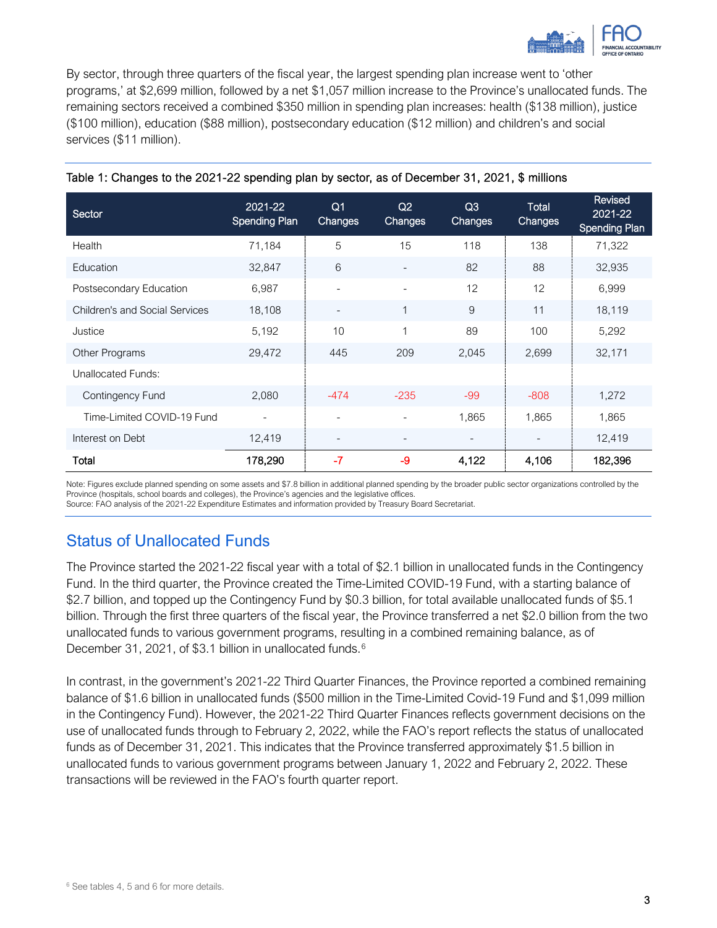

By sector, through three quarters of the fiscal year, the largest spending plan increase went to 'other programs,' at \$2,699 million, followed by a net \$1,057 million increase to the Province's unallocated funds. The remaining sectors received a combined \$350 million in spending plan increases: health (\$138 million), justice (\$100 million), education (\$88 million), postsecondary education (\$12 million) and children's and social services (\$11 million).

| Sector                                | 2021-22<br><b>Spending Plan</b> | Q <sub>1</sub><br><b>Changes</b> | Q2<br>Changes            | Q <sub>3</sub><br><b>Changes</b> | Total<br>Changes | Revised<br>2021-22<br><b>Spending Plan</b> |
|---------------------------------------|---------------------------------|----------------------------------|--------------------------|----------------------------------|------------------|--------------------------------------------|
| Health                                | 71,184                          | 5                                | 15                       | 118                              | 138              | 71,322                                     |
| Education                             | 32,847                          | 6                                | $\overline{\phantom{a}}$ | 82                               | 88               | 32,935                                     |
| Postsecondary Education               | 6,987                           | $\overline{\phantom{a}}$         | $\overline{\phantom{a}}$ | 12                               | 12               | 6,999                                      |
| <b>Children's and Social Services</b> | 18,108                          |                                  | $\mathbf{1}$             | 9                                | 11               | 18,119                                     |
| Justice                               | 5,192                           | 10                               | $\mathbf{1}$             | 89                               | 100              | 5,292                                      |
| Other Programs                        | 29,472                          | 445                              | 209                      | 2,045                            | 2,699            | 32,171                                     |
| Unallocated Funds:                    |                                 |                                  |                          |                                  |                  |                                            |
| Contingency Fund                      | 2,080                           | $-474$                           | $-235$                   | $-99$                            | $-808$           | 1,272                                      |
| Time-Limited COVID-19 Fund            |                                 | $\overline{\phantom{a}}$         | $\blacksquare$           | 1,865                            | 1,865            | 1,865                                      |
| Interest on Debt                      | 12,419                          | $\overline{\phantom{a}}$         | $\overline{\phantom{0}}$ |                                  |                  | 12,419                                     |
| Total                                 | 178,290                         | $-7$                             | -9                       | 4,122                            | 4,106            | 182,396                                    |

#### Table 1: Changes to the 2021-22 spending plan by sector, as of December 31, 2021, \$ millions

Note: Figures exclude planned spending on some assets and \$7.8 billion in additional planned spending by the broader public sector organizations controlled by the Province (hospitals, school boards and colleges), the Province's agencies and the legislative offices.

#### Source: FAO analysis of the 2021-22 Expenditure Estimates and information provided by Treasury Board Secretariat.

### Status of Unallocated Funds

The Province started the 2021-22 fiscal year with a total of \$2.1 billion in unallocated funds in the Contingency Fund. In the third quarter, the Province created the Time-Limited COVID-19 Fund, with a starting balance of \$2.7 billion, and topped up the Contingency Fund by \$0.3 billion, for total available unallocated funds of \$5.1 billion. Through the first three quarters of the fiscal year, the Province transferred a net \$2.0 billion from the two unallocated funds to various government programs, resulting in a combined remaining balance, as of December 31, 2021, of \$3.1 billion in unallocated funds.<sup>[6](#page-3-0)</sup>

<span id="page-3-0"></span>In contrast, in the government's 2021-22 Third Quarter Finances, the Province reported a combined remaining balance of \$1.6 billion in unallocated funds (\$500 million in the Time-Limited Covid-19 Fund and \$1,099 million in the Contingency Fund). However, the 2021-22 Third Quarter Finances reflects government decisions on the use of unallocated funds through to February 2, 2022, while the FAO's report reflects the status of unallocated funds as of December 31, 2021. This indicates that the Province transferred approximately \$1.5 billion in unallocated funds to various government programs between January 1, 2022 and February 2, 2022. These transactions will be reviewed in the FAO's fourth quarter report.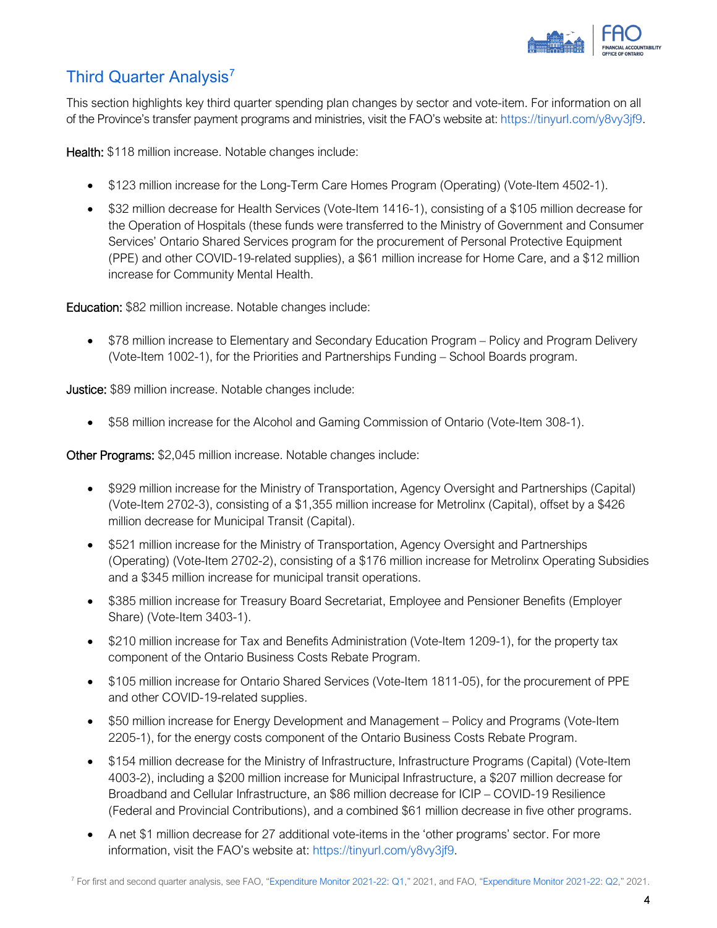

### Third Quarter Analysis<sup>[7](#page-4-0)</sup>

This section highlights key third quarter spending plan changes by sector and vote-item. For information on all of the Province's transfer payment programs and ministries, visit the FAO's website at: [https://tinyurl.com/y8vy3jf9.](https://tinyurl.com/y8vy3jf9)

Health: \$118 million increase. Notable changes include:

- \$123 million increase for the Long-Term Care Homes Program (Operating) (Vote-Item 4502-1).
- \$32 million decrease for Health Services (Vote-Item 1416-1), consisting of a \$105 million decrease for the Operation of Hospitals (these funds were transferred to the Ministry of Government and Consumer Services' Ontario Shared Services program for the procurement of Personal Protective Equipment (PPE) and other COVID-19-related supplies), a \$61 million increase for Home Care, and a \$12 million increase for Community Mental Health.

Education: \$82 million increase. Notable changes include:

• \$78 million increase to Elementary and Secondary Education Program – Policy and Program Delivery (Vote-Item 1002-1), for the Priorities and Partnerships Funding – School Boards program.

**Justice:** \$89 million increase. Notable changes include:

• \$58 million increase for the Alcohol and Gaming Commission of Ontario (Vote-Item 308-1).

Other Programs: \$2,045 million increase. Notable changes include:

- \$929 million increase for the Ministry of Transportation, Agency Oversight and Partnerships (Capital) (Vote-Item 2702-3), consisting of a \$1,355 million increase for Metrolinx (Capital), offset by a \$426 million decrease for Municipal Transit (Capital).
- \$521 million increase for the Ministry of Transportation, Agency Oversight and Partnerships (Operating) (Vote-Item 2702-2), consisting of a \$176 million increase for Metrolinx Operating Subsidies and a \$345 million increase for municipal transit operations.
- \$385 million increase for Treasury Board Secretariat, Employee and Pensioner Benefits (Employer Share) (Vote-Item 3403-1).
- \$210 million increase for Tax and Benefits Administration (Vote-Item 1209-1), for the property tax component of the Ontario Business Costs Rebate Program.
- \$105 million increase for Ontario Shared Services (Vote-Item 1811-05), for the procurement of PPE and other COVID-19-related supplies.
- \$50 million increase for Energy Development and Management Policy and Programs (Vote-Item 2205-1), for the energy costs component of the Ontario Business Costs Rebate Program.
- \$154 million decrease for the Ministry of Infrastructure, Infrastructure Programs (Capital) (Vote-Item 4003-2), including a \$200 million increase for Municipal Infrastructure, a \$207 million decrease for Broadband and Cellular Infrastructure, an \$86 million decrease for ICIP – COVID-19 Resilience (Federal and Provincial Contributions), and a combined \$61 million decrease in five other programs.
- <span id="page-4-0"></span>• A net \$1 million decrease for 27 additional vote-items in the 'other programs' sector. For more information, visit the FAO's website at: [https://tinyurl.com/y8vy3jf9.](https://tinyurl.com/y8vy3jf9)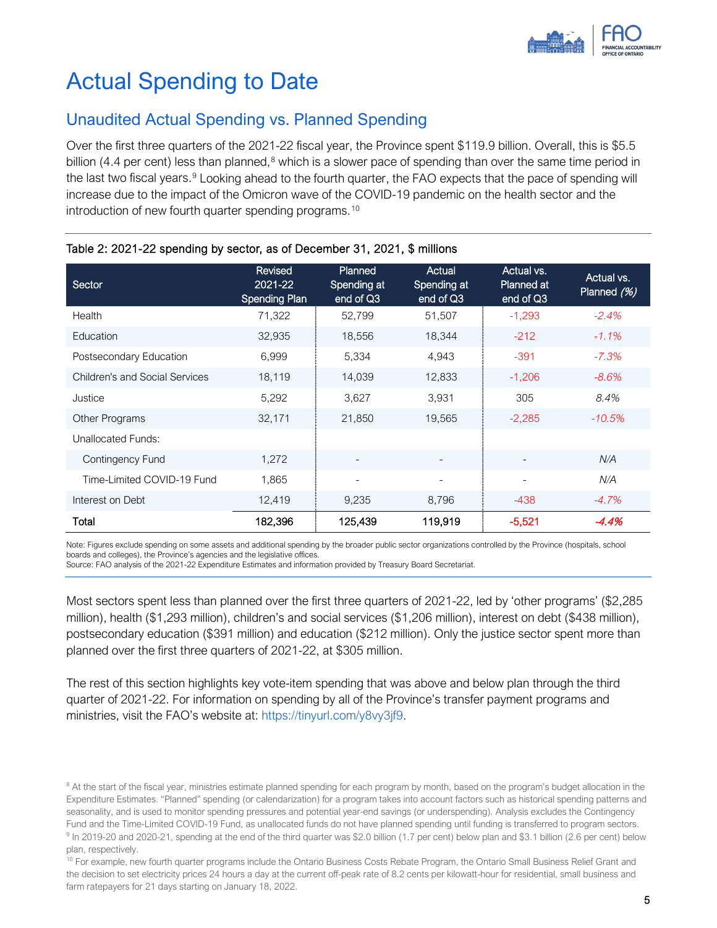

# Actual Spending to Date

### Unaudited Actual Spending vs. Planned Spending

Over the first three quarters of the 2021-22 fiscal year, the Province spent \$119.9 billion. Overall, this is \$5.5 billion (4.4 per cent) less than planned,<sup>[8](#page-5-0)</sup> which is a slower pace of spending than over the same time period in the last two fiscal years.<sup>[9](#page-5-1)</sup> Looking ahead to the fourth quarter, the FAO expects that the pace of spending will increase due to the impact of the Omicron wave of the COVID-19 pandemic on the health sector and the introduction of new fourth quarter spending programs.<sup>[10](#page-5-2)</sup>

| Sector                                | <b>Revised</b><br>2021-22<br><b>Spending Plan</b> | Planned<br>Spending at<br>end of Q3 | Actual<br>Spending at<br>end of Q3 | Actual vs.<br><b>Planned at</b><br>end of Q3 | Actual vs.<br>Planned (%) |
|---------------------------------------|---------------------------------------------------|-------------------------------------|------------------------------------|----------------------------------------------|---------------------------|
| Health                                | 71,322                                            | 52,799                              | 51,507                             | $-1,293$                                     | $-2.4%$                   |
| Education                             | 32,935                                            | 18,556                              | 18,344                             | $-212$                                       | $-1.1\%$                  |
| Postsecondary Education               | 6,999                                             | 5,334                               | 4,943                              | $-391$                                       | $-7.3%$                   |
| <b>Children's and Social Services</b> | 18,119                                            | 14,039                              | 12.833                             | $-1,206$                                     | $-8.6%$                   |
| Justice                               | 5,292                                             | 3,627                               | 3,931                              | 305                                          | 8.4%                      |
| Other Programs                        | 32,171                                            | 21,850                              | 19,565                             | $-2,285$                                     | $-10.5%$                  |
| <b>Unallocated Funds:</b>             |                                                   |                                     |                                    |                                              |                           |
| Contingency Fund                      | 1,272                                             |                                     |                                    |                                              | N/A                       |
| Time-Limited COVID-19 Fund            | 1.865                                             |                                     |                                    | $\overline{\phantom{a}}$                     | N/A                       |
| Interest on Debt                      | 12,419                                            | 9,235                               | 8,796                              | $-438$                                       | $-4.7\%$                  |
| Total                                 | 182,396                                           | 125,439                             | 119,919                            | $-5,521$                                     | $-4.4%$                   |

#### Table 2: 2021-22 spending by sector, as of December 31, 2021, \$ millions

Note: Figures exclude spending on some assets and additional spending by the broader public sector organizations controlled by the Province (hospitals, school boards and colleges), the Province's agencies and the legislative offices.

Source: FAO analysis of the 2021-22 Expenditure Estimates and information provided by Treasury Board Secretariat.

Most sectors spent less than planned over the first three quarters of 2021-22, led by 'other programs' (\$2,285 million), health (\$1,293 million), children's and social services (\$1,206 million), interest on debt (\$438 million), postsecondary education (\$391 million) and education (\$212 million). Only the justice sector spent more than planned over the first three quarters of 2021-22, at \$305 million.

The rest of this section highlights key vote-item spending that was above and below plan through the third quarter of 2021-22. For information on spending by all of the Province's transfer payment programs and ministries, visit the FAO's website at: [https://tinyurl.com/y8vy3jf9.](https://tinyurl.com/y8vy3jf9)

<span id="page-5-0"></span><sup>&</sup>lt;sup>8</sup> At the start of the fiscal year, ministries estimate planned spending for each program by month, based on the program's budget allocation in the Expenditure Estimates. "Planned" spending (or calendarization) for a program takes into account factors such as historical spending patterns and seasonality, and is used to monitor spending pressures and potential year-end savings (or underspending). Analysis excludes the Contingency Fund and the Time-Limited COVID-19 Fund, as unallocated funds do not have planned spending until funding is transferred to program sectors. 9 In 2019-20 and 2020-21, spending at the end of the third quarter was \$2.0 billion (1.7 per cent) below plan and \$3.1 billion (2.6 per cent) below plan, respectively.

<span id="page-5-2"></span><span id="page-5-1"></span><sup>&</sup>lt;sup>10</sup> For example, new fourth quarter programs include the Ontario Business Costs Rebate Program, the Ontario Small Business Relief Grant and the decision to set electricity prices 24 hours a day at the current off-peak rate of 8.2 cents per kilowatt-hour for residential, small business and farm ratepayers for 21 days starting on January 18, 2022.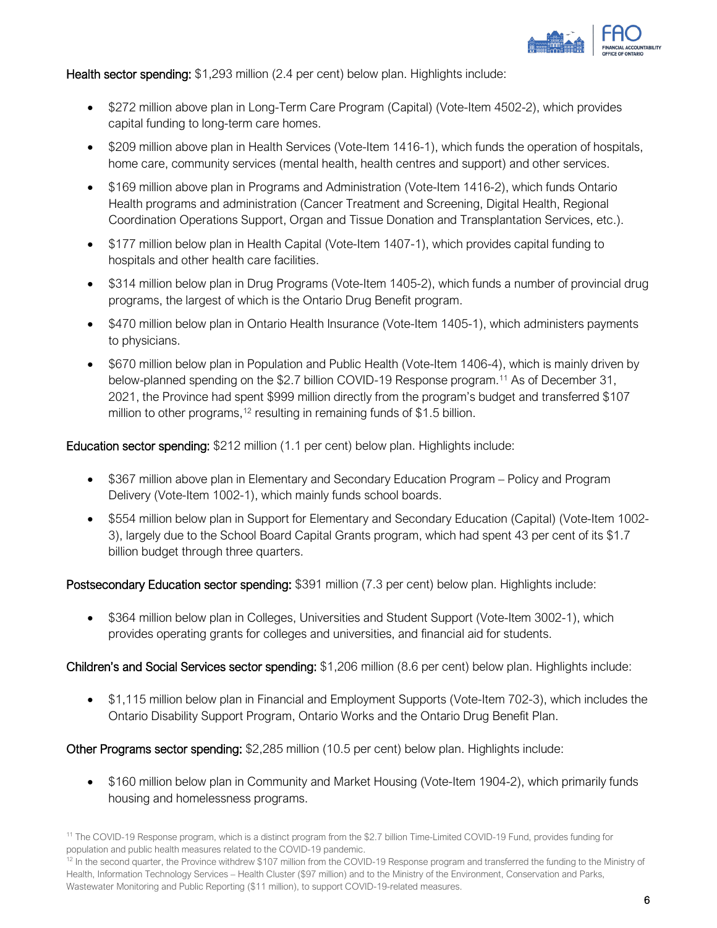

Health sector spending: \$1,293 million (2.4 per cent) below plan. Highlights include:

- \$272 million above plan in Long-Term Care Program (Capital) (Vote-Item 4502-2), which provides capital funding to long-term care homes.
- \$209 million above plan in Health Services (Vote-Item 1416-1), which funds the operation of hospitals, home care, community services (mental health, health centres and support) and other services.
- \$169 million above plan in Programs and Administration (Vote-Item 1416-2), which funds Ontario Health programs and administration (Cancer Treatment and Screening, Digital Health, Regional Coordination Operations Support, Organ and Tissue Donation and Transplantation Services, etc.).
- \$177 million below plan in Health Capital (Vote-Item 1407-1), which provides capital funding to hospitals and other health care facilities.
- \$314 million below plan in Drug Programs (Vote-Item 1405-2), which funds a number of provincial drug programs, the largest of which is the Ontario Drug Benefit program.
- \$470 million below plan in Ontario Health Insurance (Vote-Item 1405-1), which administers payments to physicians.
- \$670 million below plan in Population and Public Health (Vote-Item 1406-4), which is mainly driven by below-planned spending on the \$2.7 billion COVID-19 Response program.<sup>[11](#page-6-0)</sup> As of December 31, 2021, the Province had spent \$999 million directly from the program's budget and transferred \$107 million to other programs,  $12$  resulting in remaining funds of \$1.5 billion.

Education sector spending: \$212 million (1.1 per cent) below plan. Highlights include:

- \$367 million above plan in Elementary and Secondary Education Program Policy and Program Delivery (Vote-Item 1002-1), which mainly funds school boards.
- \$554 million below plan in Support for Elementary and Secondary Education (Capital) (Vote-Item 1002- 3), largely due to the School Board Capital Grants program, which had spent 43 per cent of its \$1.7 billion budget through three quarters.

Postsecondary Education sector spending: \$391 million (7.3 per cent) below plan. Highlights include:

• \$364 million below plan in Colleges, Universities and Student Support (Vote-Item 3002-1), which provides operating grants for colleges and universities, and financial aid for students.

Children's and Social Services sector spending: \$1,206 million (8.6 per cent) below plan. Highlights include:

• \$1,115 million below plan in Financial and Employment Supports (Vote-Item 702-3), which includes the Ontario Disability Support Program, Ontario Works and the Ontario Drug Benefit Plan.

Other Programs sector spending: \$2,285 million (10.5 per cent) below plan. Highlights include:

• \$160 million below plan in Community and Market Housing (Vote-Item 1904-2), which primarily funds housing and homelessness programs.

<span id="page-6-0"></span><sup>11</sup> The COVID-19 Response program, which is a distinct program from the \$2.7 billion Time-Limited COVID-19 Fund, provides funding for population and public health measures related to the COVID-19 pandemic.

<span id="page-6-1"></span><sup>&</sup>lt;sup>12</sup> In the second quarter, the Province withdrew \$107 million from the COVID-19 Response program and transferred the funding to the Ministry of Health, Information Technology Services – Health Cluster (\$97 million) and to the Ministry of the Environment, Conservation and Parks, Wastewater Monitoring and Public Reporting (\$11 million), to support COVID-19-related measures.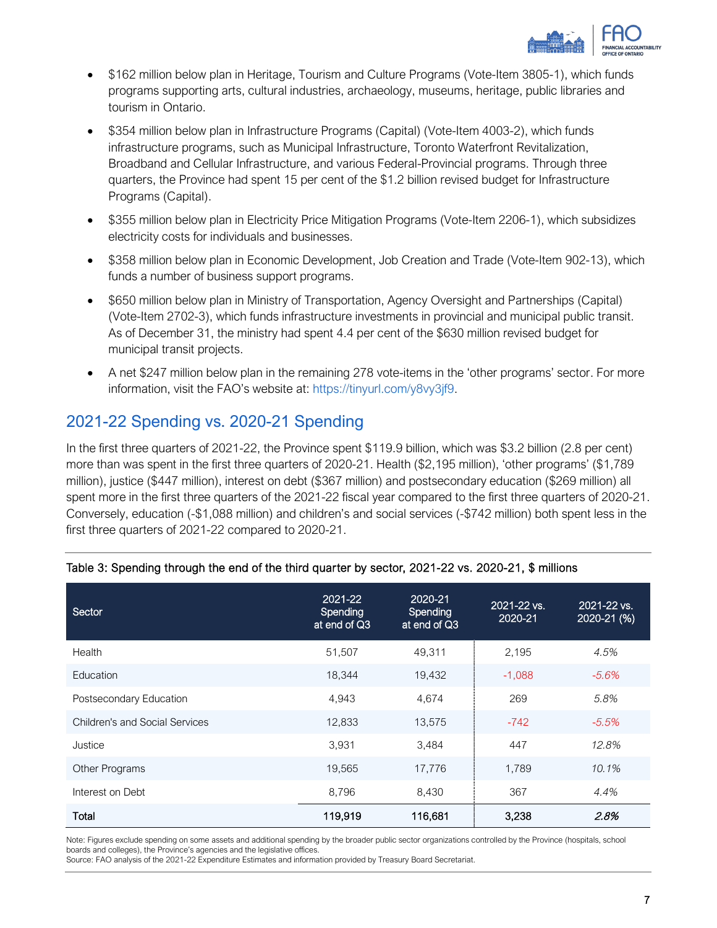

- \$162 million below plan in Heritage, Tourism and Culture Programs (Vote-Item 3805-1), which funds programs supporting arts, cultural industries, archaeology, museums, heritage, public libraries and tourism in Ontario.
- \$354 million below plan in Infrastructure Programs (Capital) (Vote-Item 4003-2), which funds infrastructure programs, such as Municipal Infrastructure, Toronto Waterfront Revitalization, Broadband and Cellular Infrastructure, and various Federal-Provincial programs. Through three quarters, the Province had spent 15 per cent of the \$1.2 billion revised budget for Infrastructure Programs (Capital).
- \$355 million below plan in Electricity Price Mitigation Programs (Vote-Item 2206-1), which subsidizes electricity costs for individuals and businesses.
- \$358 million below plan in Economic Development, Job Creation and Trade (Vote-Item 902-13), which funds a number of business support programs.
- \$650 million below plan in Ministry of Transportation, Agency Oversight and Partnerships (Capital) (Vote-Item 2702-3), which funds infrastructure investments in provincial and municipal public transit. As of December 31, the ministry had spent 4.4 per cent of the \$630 million revised budget for municipal transit projects.
- A net \$247 million below plan in the remaining 278 vote-items in the 'other programs' sector. For more information, visit the FAO's website at: [https://tinyurl.com/y8vy3jf9.](https://tinyurl.com/y8vy3jf9)

### 2021-22 Spending vs. 2020-21 Spending

In the first three quarters of 2021-22, the Province spent \$119.9 billion, which was \$3.2 billion (2.8 per cent) more than was spent in the first three quarters of 2020-21. Health (\$2,195 million), 'other programs' (\$1,789 million), justice (\$447 million), interest on debt (\$367 million) and postsecondary education (\$269 million) all spent more in the first three quarters of the 2021-22 fiscal year compared to the first three quarters of 2020-21. Conversely, education (-\$1,088 million) and children's and social services (-\$742 million) both spent less in the first three quarters of 2021-22 compared to 2020-21.

| Sector                                | 2021-22<br>Spending<br>at end of Q3 | 2020-21<br>Spending<br>at end of Q3 | 2021-22 vs.<br>2020-21 | 2021-22 vs.<br>2020-21 (%) |
|---------------------------------------|-------------------------------------|-------------------------------------|------------------------|----------------------------|
| Health                                | 51,507                              | 49,311                              | 2,195                  | 4.5%                       |
| Education                             | 18,344                              | 19,432                              | $-1,088$               | $-5.6%$                    |
| Postsecondary Education               | 4.943                               | 4,674                               | 269                    | 5.8%                       |
| <b>Children's and Social Services</b> | 12,833                              | 13,575                              | $-742$                 | $-5.5\%$                   |
| Justice                               | 3,931                               | 3,484                               | 447                    | 12.8%                      |
| Other Programs                        | 19,565                              | 17,776                              | 1,789                  | 10.1%                      |
| Interest on Debt                      | 8,796                               | 8,430                               | 367                    | 4.4%                       |
| Total                                 | 119,919                             | 116,681                             | 3,238                  | 2.8%                       |

### Table 3: Spending through the end of the third quarter by sector, 2021-22 vs. 2020-21, \$ millions

Note: Figures exclude spending on some assets and additional spending by the broader public sector organizations controlled by the Province (hospitals, school boards and colleges), the Province's agencies and the legislative offices.

Source: FAO analysis of the 2021-22 Expenditure Estimates and information provided by Treasury Board Secretariat.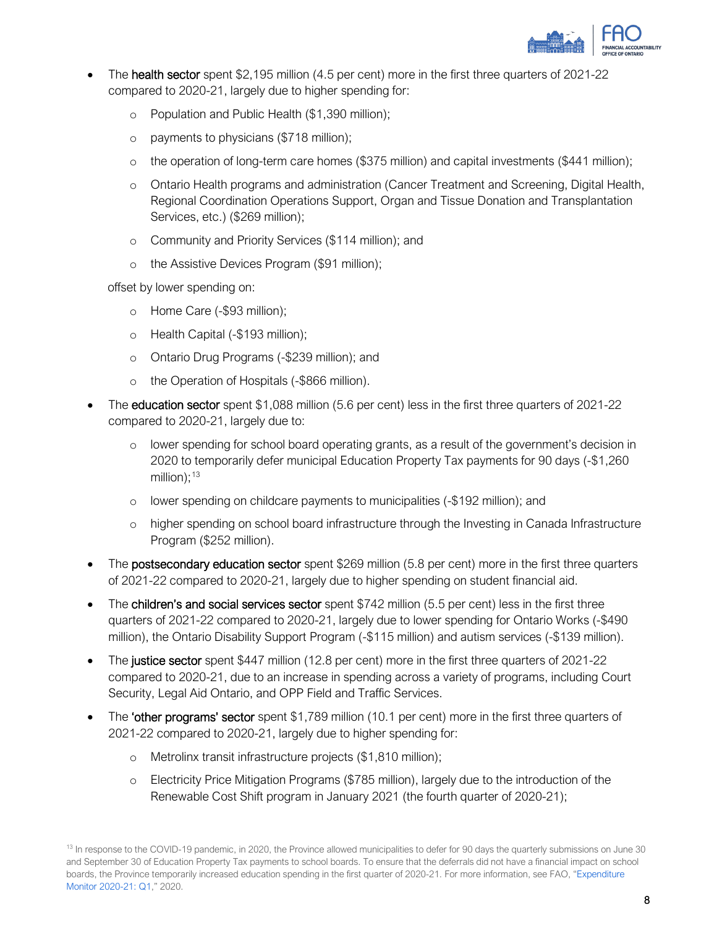

- The **health sector** spent \$2,195 million (4.5 per cent) more in the first three quarters of 2021-22 compared to 2020-21, largely due to higher spending for:
	- o Population and Public Health (\$1,390 million);
	- o payments to physicians (\$718 million);
	- o the operation of long-term care homes (\$375 million) and capital investments (\$441 million);
	- o Ontario Health programs and administration (Cancer Treatment and Screening, Digital Health, Regional Coordination Operations Support, Organ and Tissue Donation and Transplantation Services, etc.) (\$269 million);
	- o Community and Priority Services (\$114 million); and
	- o the Assistive Devices Program (\$91 million);

offset by lower spending on:

- o Home Care (-\$93 million);
- o Health Capital (-\$193 million);
- o Ontario Drug Programs (-\$239 million); and
- o the Operation of Hospitals (-\$866 million).
- The **education sector** spent \$1,088 million (5.6 per cent) less in the first three quarters of 2021-22 compared to 2020-21, largely due to:
	- o lower spending for school board operating grants, as a result of the government's decision in 2020 to temporarily defer municipal Education Property Tax payments for 90 days (-\$1,260 million); [13](#page-8-0)
	- o lower spending on childcare payments to municipalities (-\$192 million); and
	- o higher spending on school board infrastructure through the Investing in Canada Infrastructure Program (\$252 million).
- The postsecondary education sector spent \$269 million (5.8 per cent) more in the first three quarters of 2021-22 compared to 2020-21, largely due to higher spending on student financial aid.
- The children's and social services sector spent \$742 million (5.5 per cent) less in the first three quarters of 2021-22 compared to 2020-21, largely due to lower spending for Ontario Works (-\$490 million), the Ontario Disability Support Program (-\$115 million) and autism services (-\$139 million).
- The justice sector spent \$447 million (12.8 per cent) more in the first three quarters of 2021-22 compared to 2020-21, due to an increase in spending across a variety of programs, including Court Security, Legal Aid Ontario, and OPP Field and Traffic Services.
- The 'other programs' sector spent \$1,789 million (10.1 per cent) more in the first three quarters of 2021-22 compared to 2020-21, largely due to higher spending for:
	- o Metrolinx transit infrastructure projects (\$1,810 million);
	- o Electricity Price Mitigation Programs (\$785 million), largely due to the introduction of the Renewable Cost Shift program in January 2021 (the fourth quarter of 2020-21);

<span id="page-8-0"></span><sup>&</sup>lt;sup>13</sup> In response to the COVID-19 pandemic, in 2020, the Province allowed municipalities to defer for 90 days the quarterly submissions on June 30 and September 30 of Education Property Tax payments to school boards. To ensure that the deferrals did not have a financial impact on school boards, the Province temporarily increased education spending in the first quarter of 2020-21. For more information, see FAO, ["Expenditure](https://www.fao-on.org/en/Blog/Publications/2020-21-expenditure-monitor-q1)  [Monitor 2020-21: Q1,](https://www.fao-on.org/en/Blog/Publications/2020-21-expenditure-monitor-q1)" 2020.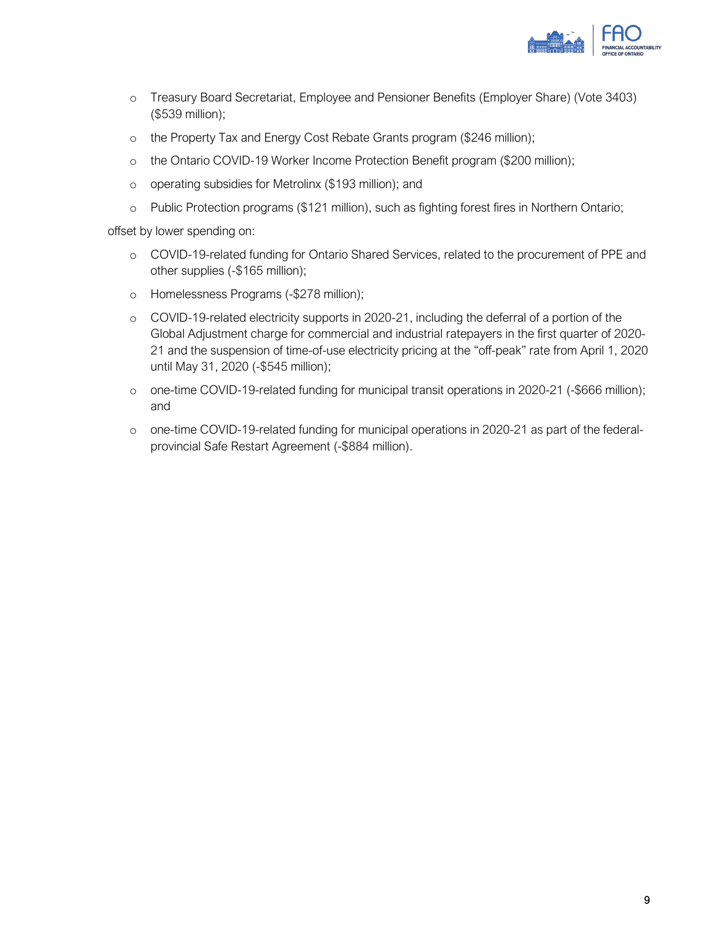

- o Treasury Board Secretariat, Employee and Pensioner Benefits (Employer Share) (Vote 3403) (\$539 million);
- o the Property Tax and Energy Cost Rebate Grants program (\$246 million);
- o the Ontario COVID-19 Worker Income Protection Benefit program (\$200 million);
- o operating subsidies for Metrolinx (\$193 million); and
- o Public Protection programs (\$121 million), such as fighting forest fires in Northern Ontario;

offset by lower spending on:

- o COVID-19-related funding for Ontario Shared Services, related to the procurement of PPE and other supplies (-\$165 million);
- o Homelessness Programs (-\$278 million);
- o COVID-19-related electricity supports in 2020-21, including the deferral of a portion of the Global Adjustment charge for commercial and industrial ratepayers in the first quarter of 2020- 21 and the suspension of time-of-use electricity pricing at the "off-peak" rate from April 1, 2020 until May 31, 2020 (-\$545 million);
- o one-time COVID-19-related funding for municipal transit operations in 2020-21 (-\$666 million); and
- o one-time COVID-19-related funding for municipal operations in 2020-21 as part of the federalprovincial Safe Restart Agreement (-\$884 million).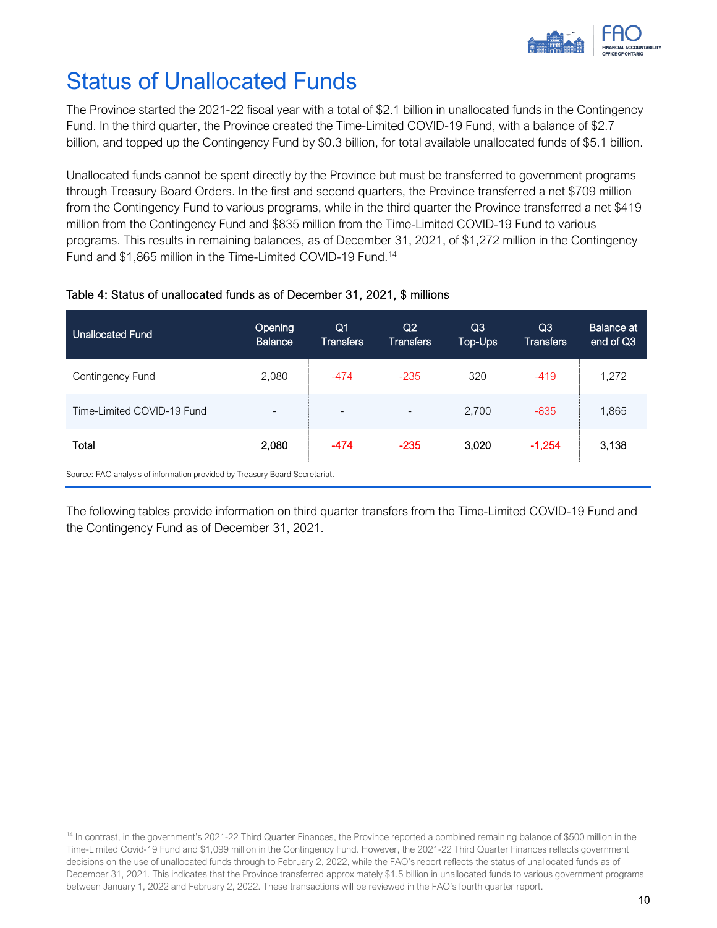

# Status of Unallocated Funds

The Province started the 2021-22 fiscal year with a total of \$2.1 billion in unallocated funds in the Contingency Fund. In the third quarter, the Province created the Time-Limited COVID-19 Fund, with a balance of \$2.7 billion, and topped up the Contingency Fund by \$0.3 billion, for total available unallocated funds of \$5.1 billion.

Unallocated funds cannot be spent directly by the Province but must be transferred to government programs through Treasury Board Orders. In the first and second quarters, the Province transferred a net \$709 million from the Contingency Fund to various programs, while in the third quarter the Province transferred a net \$419 million from the Contingency Fund and \$835 million from the Time-Limited COVID-19 Fund to various programs. This results in remaining balances, as of December 31, 2021, of \$1,272 million in the Contingency Fund and \$1,865 million in the Time-Limited COVID-19 Fund.<sup>[14](#page-10-0)</sup>

### Table 4: Status of unallocated funds as of December 31, 2021, \$ millions

| <b>Unallocated Fund</b>                                                     | Opening<br><b>Balance</b> | Q <sub>1</sub><br><b>Transfers</b> | Q <sub>2</sub><br><b>Transfers</b> | Q <sub>3</sub><br>Top-Ups | Q <sub>3</sub><br><b>Transfers</b> | <b>Balance at</b><br>end of Q3 |
|-----------------------------------------------------------------------------|---------------------------|------------------------------------|------------------------------------|---------------------------|------------------------------------|--------------------------------|
| Contingency Fund                                                            | 2,080                     | $-474$                             | $-235$                             | 320                       | $-419$                             | 1,272                          |
| Time-Limited COVID-19 Fund                                                  | $\overline{\phantom{0}}$  | $\overline{\phantom{0}}$           | $\overline{\phantom{a}}$           | 2,700                     | $-835$                             | 1,865                          |
| Total                                                                       | 2,080                     | $-474$                             | $-235$                             | 3,020                     | $-1,254$                           | 3,138                          |
| Source: FAO analysis of information provided by Treasury Board Secretariat. |                           |                                    |                                    |                           |                                    |                                |

The following tables provide information on third quarter transfers from the Time-Limited COVID-19 Fund and the Contingency Fund as of December 31, 2021.

<span id="page-10-0"></span><sup>14</sup> In contrast, in the government's 2021-22 Third Quarter Finances, the Province reported a combined remaining balance of \$500 million in the Time-Limited Covid-19 Fund and \$1,099 million in the Contingency Fund. However, the 2021-22 Third Quarter Finances reflects government decisions on the use of unallocated funds through to February 2, 2022, while the FAO's report reflects the status of unallocated funds as of December 31, 2021. This indicates that the Province transferred approximately \$1.5 billion in unallocated funds to various government programs between January 1, 2022 and February 2, 2022. These transactions will be reviewed in the FAO's fourth quarter report.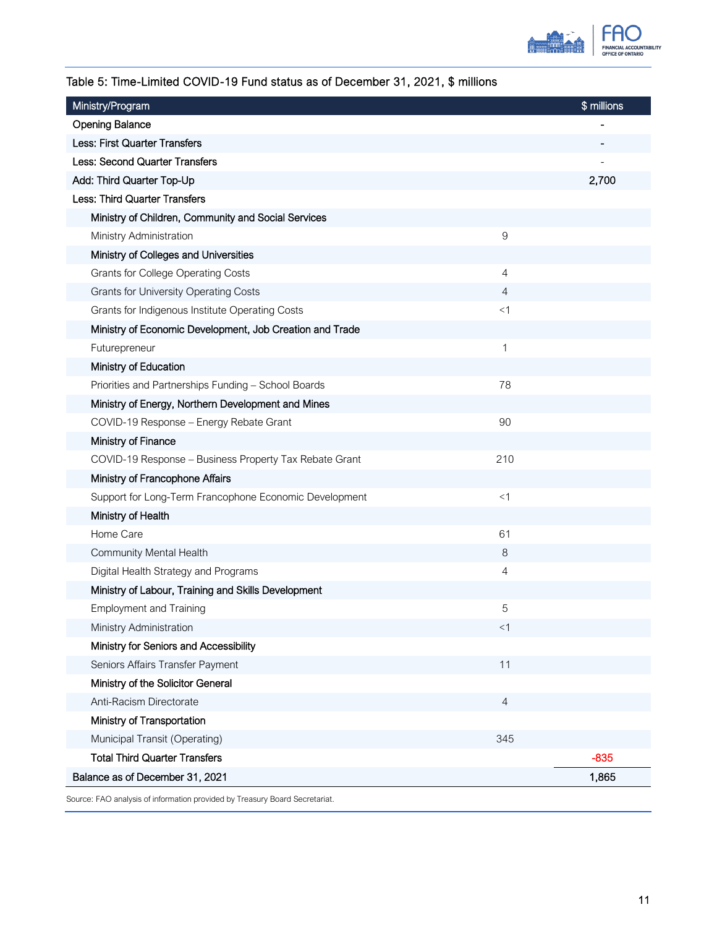

### Table 5: Time-Limited COVID-19 Fund status as of December 31, 2021, \$ millions

| Ministry/Program                                         |       | \$ millions |
|----------------------------------------------------------|-------|-------------|
| <b>Opening Balance</b>                                   |       |             |
| <b>Less: First Quarter Transfers</b>                     |       |             |
| Less: Second Quarter Transfers                           |       |             |
| Add: Third Quarter Top-Up                                |       | 2,700       |
| Less: Third Quarter Transfers                            |       |             |
| Ministry of Children, Community and Social Services      |       |             |
| Ministry Administration                                  | 9     |             |
| Ministry of Colleges and Universities                    |       |             |
| <b>Grants for College Operating Costs</b>                | 4     |             |
| <b>Grants for University Operating Costs</b>             | 4     |             |
| Grants for Indigenous Institute Operating Costs          | $<$ 1 |             |
| Ministry of Economic Development, Job Creation and Trade |       |             |
| Futurepreneur                                            | 1     |             |
| Ministry of Education                                    |       |             |
| Priorities and Partnerships Funding - School Boards      | 78    |             |
| Ministry of Energy, Northern Development and Mines       |       |             |
| COVID-19 Response - Energy Rebate Grant                  | 90    |             |
| Ministry of Finance                                      |       |             |
| COVID-19 Response - Business Property Tax Rebate Grant   | 210   |             |
| Ministry of Francophone Affairs                          |       |             |
| Support for Long-Term Francophone Economic Development   | <1    |             |
| Ministry of Health                                       |       |             |
| Home Care                                                | 61    |             |
| Community Mental Health                                  | 8     |             |
| Digital Health Strategy and Programs                     | 4     |             |
| Ministry of Labour, Training and Skills Development      |       |             |
| <b>Employment and Training</b>                           | 5     |             |
| Ministry Administration                                  | $<$ 1 |             |
| Ministry for Seniors and Accessibility                   |       |             |
| Seniors Affairs Transfer Payment                         | 11    |             |
| Ministry of the Solicitor General                        |       |             |
| Anti-Racism Directorate                                  | 4     |             |
| Ministry of Transportation                               |       |             |
| Municipal Transit (Operating)                            | 345   |             |
| <b>Total Third Quarter Transfers</b>                     |       | $-835$      |
| Balance as of December 31, 2021                          |       | 1,865       |
|                                                          |       |             |

Source: FAO analysis of information provided by Treasury Board Secretariat.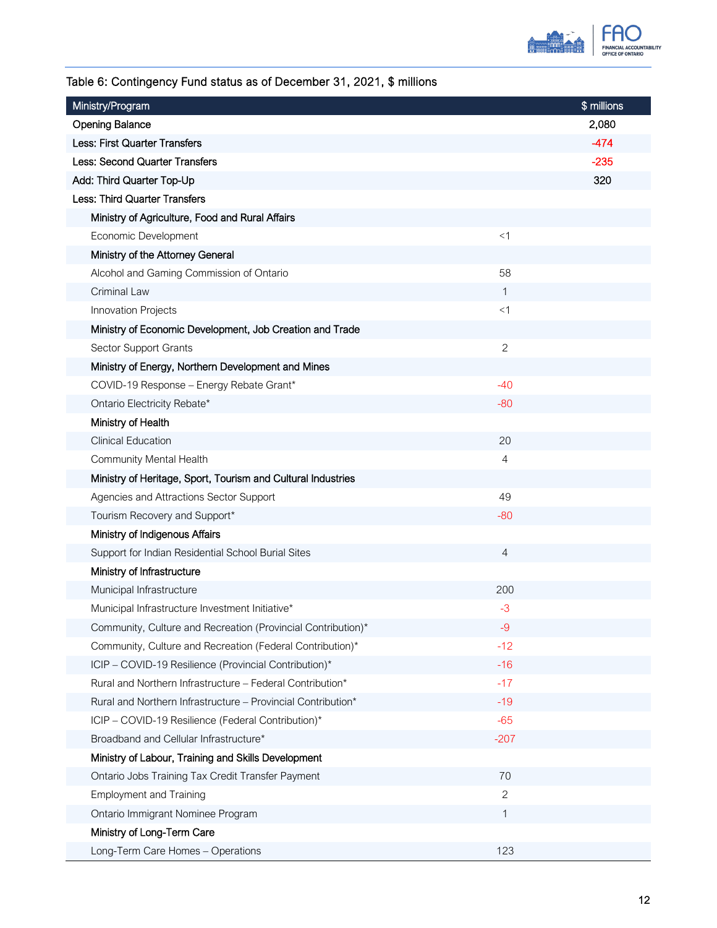

### Table 6: Contingency Fund status as of December 31, 2021, \$ millions

| Ministry/Program                                             |              | \$ millions |
|--------------------------------------------------------------|--------------|-------------|
| <b>Opening Balance</b>                                       |              | 2,080       |
| <b>Less: First Quarter Transfers</b>                         |              | $-474$      |
| <b>Less: Second Quarter Transfers</b>                        |              | $-235$      |
| Add: Third Quarter Top-Up                                    |              | 320         |
| Less: Third Quarter Transfers                                |              |             |
| Ministry of Agriculture, Food and Rural Affairs              |              |             |
| Economic Development                                         | <1           |             |
| Ministry of the Attorney General                             |              |             |
| Alcohol and Gaming Commission of Ontario                     | 58           |             |
| Criminal Law                                                 | 1            |             |
| Innovation Projects                                          | $<$ 1        |             |
| Ministry of Economic Development, Job Creation and Trade     |              |             |
| Sector Support Grants                                        | $\mathbf{2}$ |             |
| Ministry of Energy, Northern Development and Mines           |              |             |
| COVID-19 Response - Energy Rebate Grant*                     | $-40$        |             |
| Ontario Electricity Rebate*                                  | -80          |             |
| Ministry of Health                                           |              |             |
| <b>Clinical Education</b>                                    | 20           |             |
| Community Mental Health                                      | 4            |             |
| Ministry of Heritage, Sport, Tourism and Cultural Industries |              |             |
| Agencies and Attractions Sector Support                      | 49           |             |
| Tourism Recovery and Support*                                | $-80$        |             |
| Ministry of Indigenous Affairs                               |              |             |
| Support for Indian Residential School Burial Sites           | 4            |             |
| Ministry of Infrastructure                                   |              |             |
| Municipal Infrastructure                                     | 200          |             |
| Municipal Infrastructure Investment Initiative*              | $-3$         |             |
| Community, Culture and Recreation (Provincial Contribution)* | $-9$         |             |
| Community, Culture and Recreation (Federal Contribution)*    | $-12$        |             |
| ICIP - COVID-19 Resilience (Provincial Contribution)*        | $-16$        |             |
| Rural and Northern Infrastructure - Federal Contribution*    | $-17$        |             |
| Rural and Northern Infrastructure - Provincial Contribution* | $-19$        |             |
| ICIP - COVID-19 Resilience (Federal Contribution)*           | $-65$        |             |
| Broadband and Cellular Infrastructure*                       | $-207$       |             |
| Ministry of Labour, Training and Skills Development          |              |             |
| Ontario Jobs Training Tax Credit Transfer Payment            | 70           |             |
| <b>Employment and Training</b>                               | 2            |             |
| Ontario Immigrant Nominee Program                            | 1            |             |
| Ministry of Long-Term Care                                   |              |             |
| Long-Term Care Homes - Operations                            | 123          |             |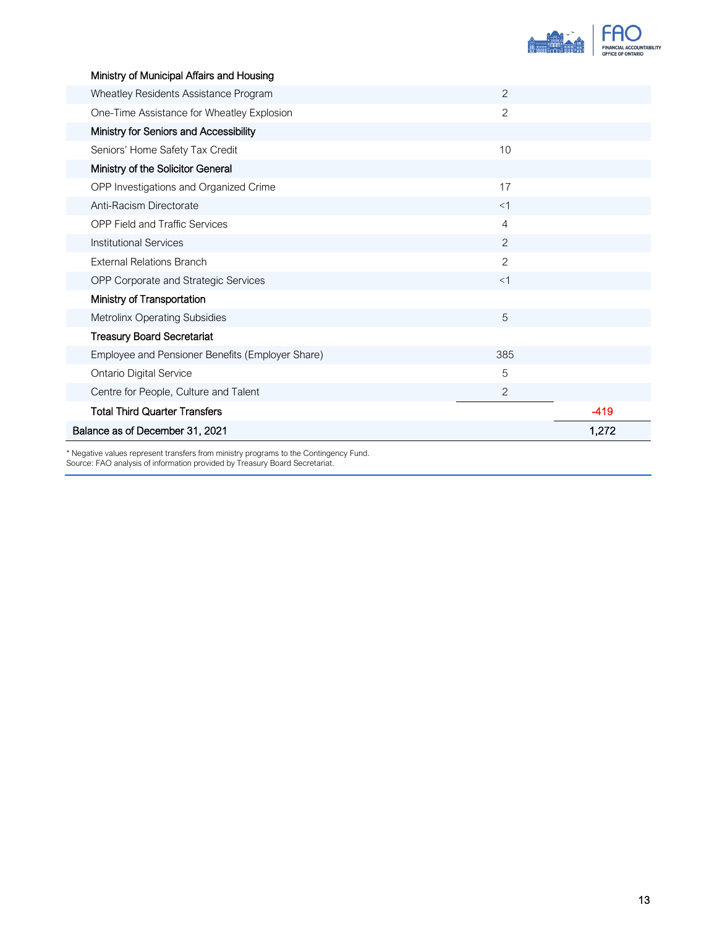

| Ministry of Municipal Affairs and Housing        |                |        |
|--------------------------------------------------|----------------|--------|
| Wheatley Residents Assistance Program            | 2              |        |
| One-Time Assistance for Wheatley Explosion       | $\overline{2}$ |        |
| Ministry for Seniors and Accessibility           |                |        |
| Seniors' Home Safety Tax Credit                  | 10             |        |
| Ministry of the Solicitor General                |                |        |
| OPP Investigations and Organized Crime           | 17             |        |
| Anti-Racism Directorate                          | $<$ 1          |        |
| <b>OPP Field and Traffic Services</b>            | 4              |        |
| <b>Institutional Services</b>                    | $\overline{2}$ |        |
| <b>External Relations Branch</b>                 | 2              |        |
| OPP Corporate and Strategic Services             | <1             |        |
| Ministry of Transportation                       |                |        |
| Metrolinx Operating Subsidies                    | 5              |        |
| <b>Treasury Board Secretariat</b>                |                |        |
| Employee and Pensioner Benefits (Employer Share) | 385            |        |
| <b>Ontario Digital Service</b>                   | 5              |        |
| Centre for People, Culture and Talent            | $\overline{2}$ |        |
| <b>Total Third Quarter Transfers</b>             |                | $-419$ |
| Balance as of December 31, 2021                  |                | 1,272  |

\* Negative values represent transfers from ministry programs to the Contingency Fund. Source: FAO analysis of information provided by Treasury Board Secretariat.